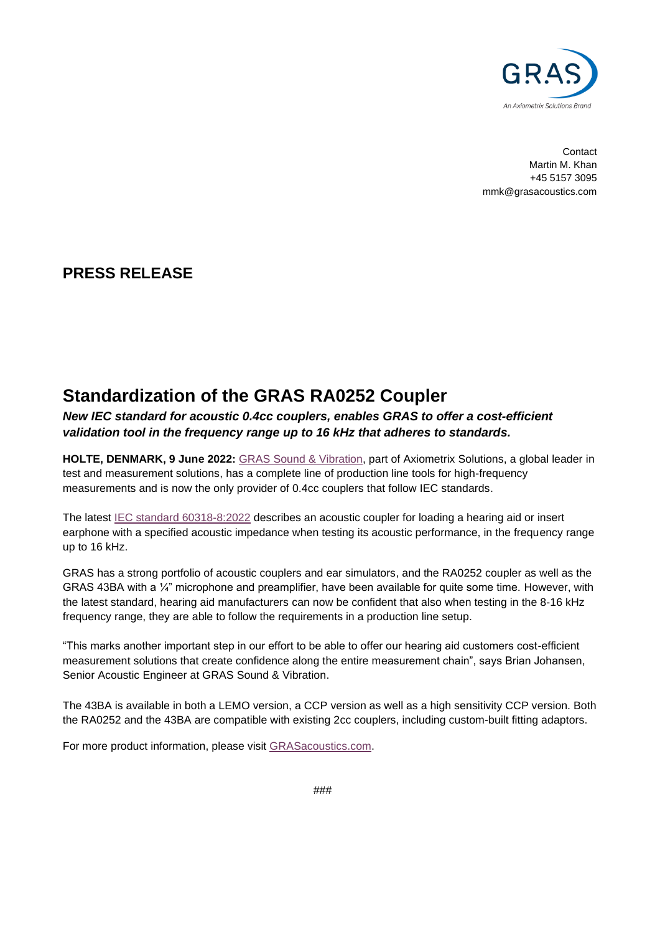

**Contact** Martin M. Khan +45 5157 3095 mmk@grasacoustics.com

## **PRESS RELEASE**

## **Standardization of the GRAS RA0252 Coupler**

*New IEC standard for acoustic 0.4cc couplers, enables GRAS to offer a cost-efficient validation tool in the frequency range up to 16 kHz that adheres to standards.* 

**HOLTE, DENMARK, 9 June 2022:** [GRAS Sound & Vibration,](http://www.grasacoustics.com/) part of Axiometrix Solutions, a global leader in test and measurement solutions, has a complete line of production line tools for high-frequency measurements and is now the only provider of 0.4cc couplers that follow IEC standards.

The latest [IEC standard 60318-8:2022](https://standards.globalspec.com/std/14505640/60318-8) describes an acoustic coupler for loading a hearing aid or insert earphone with a specified acoustic impedance when testing its acoustic performance, in the frequency range up to 16 kHz.

GRAS has a strong portfolio of acoustic couplers and ear simulators, and the RA0252 coupler as well as the GRAS 43BA with a ¼" microphone and preamplifier, have been available for quite some time. However, with the latest standard, hearing aid manufacturers can now be confident that also when testing in the 8-16 kHz frequency range, they are able to follow the requirements in a production line setup.

"This marks another important step in our effort to be able to offer our hearing aid customers cost-efficient measurement solutions that create confidence along the entire measurement chain", says Brian Johansen, Senior Acoustic Engineer at GRAS Sound & Vibration.

The 43BA is available in both a LEMO version, a CCP version as well as a high sensitivity CCP version. Both the RA0252 and the 43BA are compatible with existing 2cc couplers, including custom-built fitting adaptors.

For more product information, please visit [GRASacoustics.com.](https://www.grasacoustics.com/products/ear-simulator)